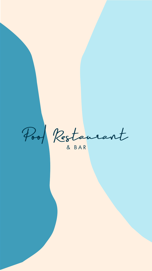

Pool Restaurant

& BAR

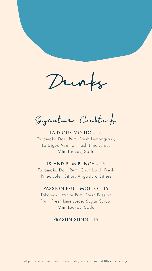Dunks

Signature Cocktails

# LA DIGUE MOJITO - 15 Takamaka Dark Rum, Fresh Lemongrass, La Digue Vanilla, Fresh Lime Juice, Mint Leaves, Soda

#### ISLAND RUM PUNCH - 15

Takamaka Dark Rum, Chambord, Fresh Pineapple, Citrus, Angostura Bitters

#### PASSION FRUIT MOJITO - 15

Takamaka White Rum, Fresh Passion Fruit, Fresh Lime Juice, Sugar Syrup, Mint Leaves, Soda

### PRASLIN SLING - 15

#### All prices are in Euro (€) and includes 15% government Tax and 10% service charge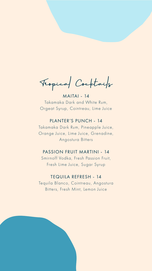Veopical Cocktails

MAITAI - 14 Takamaka Dark and White Rum, Orgeat Syrup, Cointreau, Lime Juice

# PLANTER'S PUNCH - 14

Takamaka Dark Rum, Pineapple Juice, Orange Juice, Lime Juice, Grenadine, Angostura Bitters

#### PASSION FRUIT MARTINI - 14

Smirnoff Vodka, Fresh Passion Fruit, Fresh Lime Juice, Sugar Syrup

# TEQUILA REFRESH - 14 Tequila Blanco, Cointreau, Angostura

Bitters, Fresh Mint, Lemon Juice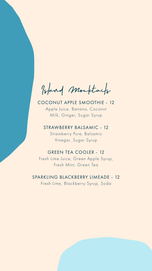Island Mocktails

COCONUT APPLE SMOOTHIE - 12 Apple Juice, Banana, Coconut Milk, Ginger, Sugar Syrup

STRAWBERRY BALSAMIC - 12

Strawberry Pure, Balsamic Vinegar, Sugar Syrup

#### GREEN TEA COOLER - 12

Fresh Lime Juice, Green Apple Syrup, Fresh Mint, Green Tea

# SPARKLING BLACKBERRY LIMEADE - 12

Fresh Lime, Blackberry Syrup, Soda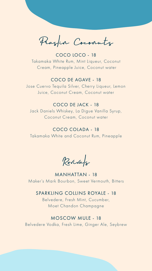Praslin Coconuts

# COCO LOCO - 18 Takamaka White Rum, Mint Liqueur, Coconut Cream, Pineapple Juice, Coconut water

### COCO DE AGAVE - 18

Jose Cuervo Tequila Silver, Cherry Liqueur, Lemon Juice, Coconut Cream, Coconut water

### COCO DE JACK - 18

Jack Daniels Whiskey, La Digue Vanilla Syrup, Coconut Cream, Coconut water

# COCO COLADA - 18 Takamaka White and Coconut Rum, Pineapple

Revivals

MANHATTAN - 18 Maker's Mark Bourbon, Sweet Vermouth, Bitters

### SPARKLING COLLINS ROYALE - 18

Belvedere, Fresh Mint, Cucumber, Moet Chandon Champagne

MOSCOW MULE - 18 Belvedere Vodka, Fresh Lime, Ginger Ale, Seybrew

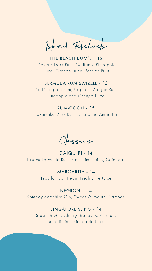Island Tikitails

# THE BEACH BUM'S - 15 Mayer's Dark Rum, Galliano, Pineapple Juice, Orange Juice, Passion Fruit

#### BERMUDA RUM SWIZZLE - 15

Tiki Pineapple Rum, Captain Morgan Rum, Pineapple and Orange Juice

### RUM-GOON - 15

Takamaka Dark Rum, Disaronno Amaretto

Classics

# DAIQUIRI - 14 Takamaka White Rum, Fresh Lime Juice, Cointreau

# MARGARITA - 14 Tequila, Cointreau, Fresh Lime Juice

### NEGRONI - 14

Bombay Sapphire Gin, Sweet Vermouth, Campari

### SINGAPORE SLING - 14

Sipsmith Gin, Cherry Brandy, Cointreau, Benedictine, Pineapple Juice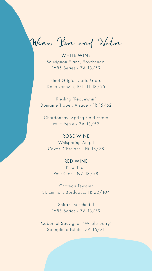Wine, Beer and Water

WHITE WINE Sauvignon Blanc, Boschendal 1685 Series - ZA 13/59

Pinot Grigio, Corte Giara Delle venezie, IGT- IT 13/55

Riesling 'Requewhir' Domaine Trapet, Alsace - FR 15/62

Chardonnay, Spring Field Estate Wild Yeast - ZA 13/52

# ROSÉ WINE

Whispering Angel Caves D'Esclans - FR 18/78

#### RED WINE

Pinot Noir Petit Clos - NZ 13/58

Chateau Teyssier St. Emilion, Bordeauz, FR 22/104

> Shiraz, Boschedal 1685 Series - ZA 13/59

Cabernet Sauvignon 'Whole Berry' Springfield Estate- ZA 16/71